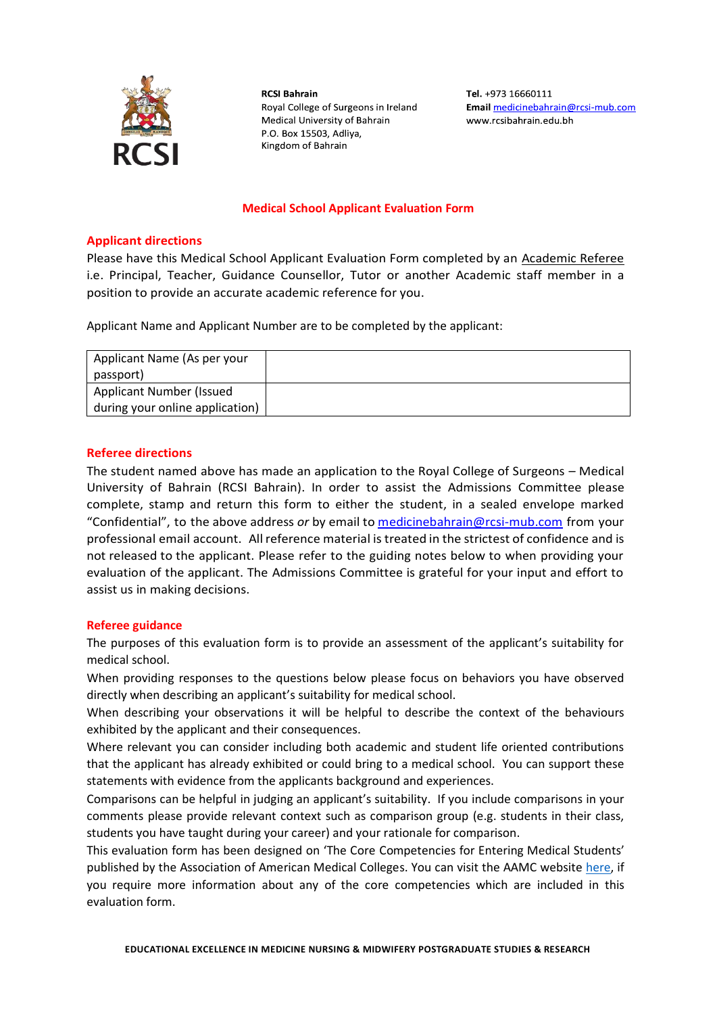

**RCSI Bahrain** Royal College of Surgeons in Ireland Medical University of Bahrain P.O. Box 15503, Adliya, Kingdom of Bahrain

Tel. +973 16660111 Email medicinebahrain@rcsi-mub.com www.rcsibahrain.edu.bh

## **Medical School Applicant Evaluation Form**

## **Applicant directions**

Please have this Medical School Applicant Evaluation Form completed by an Academic Referee i.e. Principal, Teacher, Guidance Counsellor, Tutor or another Academic staff member in a position to provide an accurate academic reference for you.

Applicant Name and Applicant Number are to be completed by the applicant:

| Applicant Name (As per your     |  |
|---------------------------------|--|
| passport)                       |  |
| Applicant Number (Issued        |  |
| during your online application) |  |

## **Referee directions**

The student named above has made an application to the Royal College of Surgeons – Medical University of Bahrain (RCSI Bahrain). In order to assist the Admissions Committee please complete, stamp and return this form to either the student, in a sealed envelope marked "Confidential", to the above address *or* by email to [medicinebahrain@rcsi-mub.com](mailto:medicinebahrain@rcsi-mub.com) from your professional email account. All reference material is treated in the strictest of confidence and is not released to the applicant. Please refer to the guiding notes below to when providing your evaluation of the applicant. The Admissions Committee is grateful for your input and effort to assist us in making decisions.

## **Referee guidance**

The purposes of this evaluation form is to provide an assessment of the applicant's suitability for medical school.

When providing responses to the questions below please focus on behaviors you have observed directly when describing an applicant's suitability for medical school.

When describing your observations it will be helpful to describe the context of the behaviours exhibited by the applicant and their consequences.

Where relevant you can consider including both academic and student life oriented contributions that the applicant has already exhibited or could bring to a medical school. You can support these statements with evidence from the applicants background and experiences.

Comparisons can be helpful in judging an applicant's suitability. If you include comparisons in your comments please provide relevant context such as comparison group (e.g. students in their class, students you have taught during your career) and your rationale for comparison.

This evaluation form has been designed on 'The Core Competencies for Entering Medical Students' published by the Association of American Medical Colleges. You can visit the AAMC website [here,](https://students-residents.aamc.org/applying-medical-school/article/core-competencies/) if you require more information about any of the core competencies which are included in this evaluation form.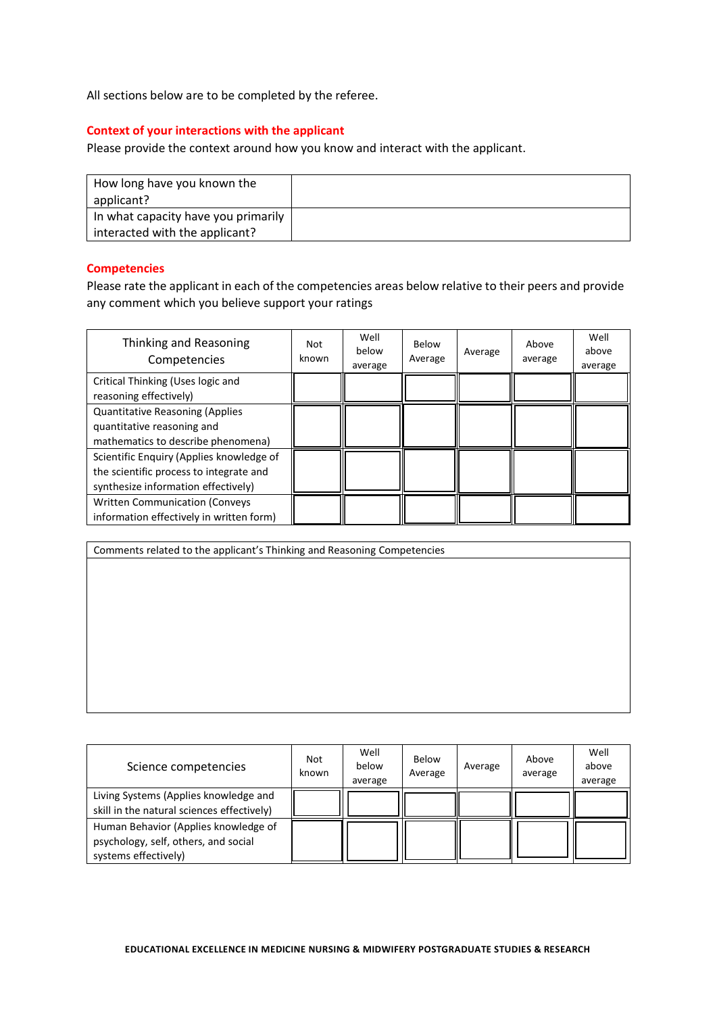All sections below are to be completed by the referee.

### **Context of your interactions with the applicant**

Please provide the context around how you know and interact with the applicant.

| How long have you known the<br>applicant?                             |  |
|-----------------------------------------------------------------------|--|
| In what capacity have you primarily<br>interacted with the applicant? |  |

#### **Competencies**

Please rate the applicant in each of the competencies areas below relative to their peers and provide any comment which you believe support your ratings

| Thinking and Reasoning<br>Competencies                                                                                     | Not<br>known | Well<br>below<br>average | Below<br>Average | Average | Above<br>average | Well<br>above<br>average |
|----------------------------------------------------------------------------------------------------------------------------|--------------|--------------------------|------------------|---------|------------------|--------------------------|
| Critical Thinking (Uses logic and<br>reasoning effectively)                                                                |              |                          |                  |         |                  |                          |
| <b>Quantitative Reasoning (Applies</b><br>quantitative reasoning and<br>mathematics to describe phenomena)                 |              |                          |                  |         |                  |                          |
| Scientific Enquiry (Applies knowledge of<br>the scientific process to integrate and<br>synthesize information effectively) |              |                          |                  |         |                  |                          |
| <b>Written Communication (Conveys</b><br>information effectively in written form)                                          |              |                          |                  |         |                  |                          |

Comments related to the applicant's Thinking and Reasoning Competencies

| Science competencies                                                                                 | Not<br>known | Well<br>below<br>average | Below<br>Average | Average | Above<br>average | Well<br>above<br>average |
|------------------------------------------------------------------------------------------------------|--------------|--------------------------|------------------|---------|------------------|--------------------------|
| Living Systems (Applies knowledge and<br>skill in the natural sciences effectively)                  |              |                          |                  |         |                  |                          |
| Human Behavior (Applies knowledge of<br>psychology, self, others, and social<br>systems effectively) |              |                          |                  |         |                  |                          |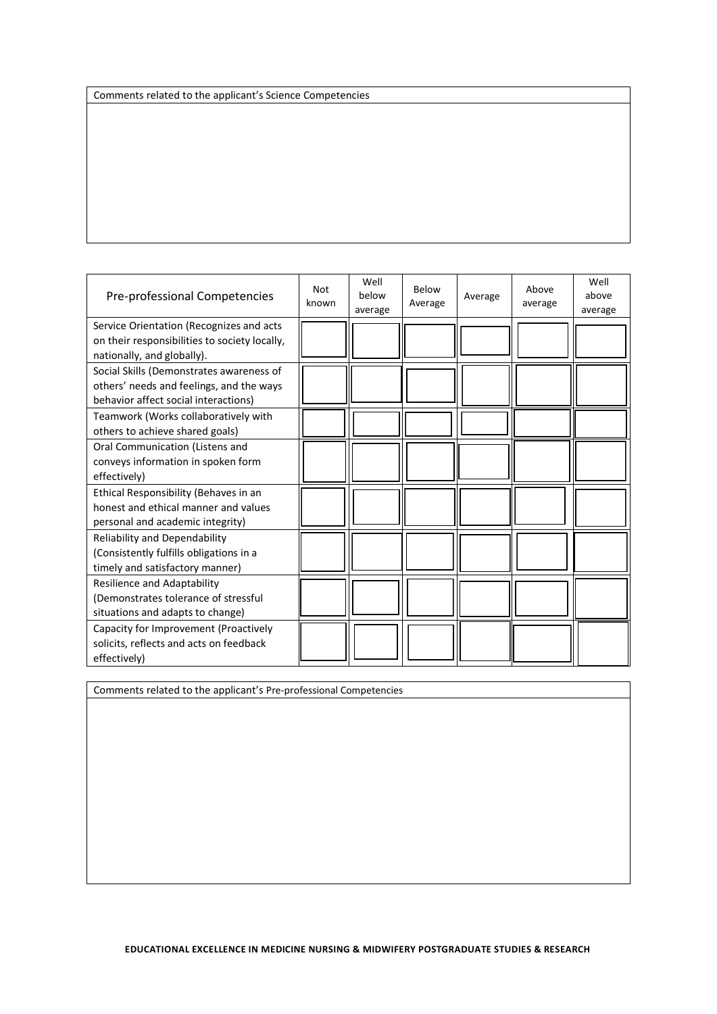Comments related to the applicant's Science Competencies

| Pre-professional Competencies                                                                                                | Not<br>known | Well<br>helow<br>average | Below<br>Average | Average | Above<br>average | Well<br>above<br>average |
|------------------------------------------------------------------------------------------------------------------------------|--------------|--------------------------|------------------|---------|------------------|--------------------------|
| Service Orientation (Recognizes and acts<br>on their responsibilities to society locally,<br>nationally, and globally).      |              |                          |                  |         |                  |                          |
| Social Skills (Demonstrates awareness of<br>others' needs and feelings, and the ways<br>behavior affect social interactions) |              |                          |                  |         |                  |                          |
| Teamwork (Works collaboratively with<br>others to achieve shared goals)                                                      |              |                          |                  |         |                  |                          |
| Oral Communication (Listens and<br>conveys information in spoken form<br>effectively)                                        |              |                          |                  |         |                  |                          |
| Ethical Responsibility (Behaves in an<br>honest and ethical manner and values<br>personal and academic integrity)            |              |                          |                  |         |                  |                          |
| <b>Reliability and Dependability</b><br>(Consistently fulfills obligations in a<br>timely and satisfactory manner)           |              |                          |                  |         |                  |                          |
| Resilience and Adaptability<br>(Demonstrates tolerance of stressful<br>situations and adapts to change)                      |              |                          |                  |         |                  |                          |
| Capacity for Improvement (Proactively<br>solicits, reflects and acts on feedback<br>effectively)                             |              |                          |                  |         |                  |                          |

Comments related to the applicant's Pre-professional Competencies